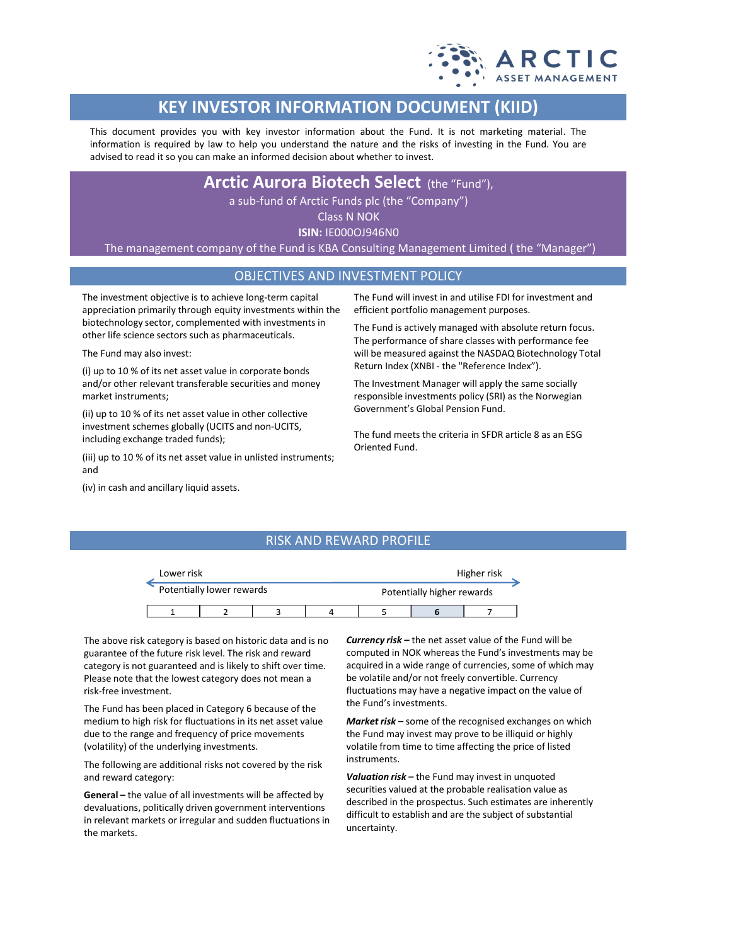

# **KEY INVESTOR INFORMATION DOCUMENT (KIID)**

This document provides you with key investor information about the Fund. It is not marketing material. The information is required by law to help you understand the nature and the risks of investing in the Fund. You are advised to read it so you can make an informed decision about whether to invest.

**Arctic Aurora Biotech Select** (the "Fund"),

a sub-fund of Arctic Funds plc (the "Company")

Class N NOK

**ISIN:** IE000OJ946N0

The management company of the Fund is KBA Consulting Management Limited ( the "Manager")

# OBJECTIVES AND INVESTMENT POLICY

The investment objective is to achieve long-term capital appreciation primarily through equity investments within the biotechnology sector, complemented with investments in other life science sectors such as pharmaceuticals.

The Fund may also invest:

(i) up to 10 % of its net asset value in corporate bonds and/or other relevant transferable securities and money market instruments;

(ii) up to 10 % of its net asset value in other collective investment schemes globally (UCITS and non-UCITS, including exchange traded funds);

(iii) up to 10 % of its net asset value in unlisted instruments; and

(iv) in cash and ancillary liquid assets.

The Fund will invest in and utilise FDI for investment and efficient portfolio management purposes.

The Fund is actively managed with absolute return focus. The performance of share classes with performance fee will be measured against the NASDAQ Biotechnology Total Return Index (XNBI - the "Reference Index").

The Investment Manager will apply the same socially responsible investments policy (SRI) as the Norwegian Government's Global Pension Fund.

The fund meets the criteria in SFDR article 8 as an ESG Oriented Fund.

# RISK AND REWARD PROFILE



The above risk category is based on historic data and is no guarantee of the future risk level. The risk and reward category is not guaranteed and is likely to shift over time. Please note that the lowest category does not mean a risk-free investment.

The Fund has been placed in Category 6 because of the medium to high risk for fluctuations in its net asset value due to the range and frequency of price movements (volatility) of the underlying investments.

The following are additional risks not covered by the risk and reward category:

**General –** the value of all investments will be affected by devaluations, politically driven government interventions in relevant markets or irregular and sudden fluctuations in the markets.

*Currency risk –* the net asset value of the Fund will be computed in NOK whereas the Fund's investments may be acquired in a wide range of currencies, some of which may be volatile and/or not freely convertible. Currency fluctuations may have a negative impact on the value of the Fund's investments.

*Market risk –* some of the recognised exchanges on which the Fund may invest may prove to be illiquid or highly volatile from time to time affecting the price of listed instruments.

*Valuation risk –* the Fund may invest in unquoted securities valued at the probable realisation value as described in the prospectus. Such estimates are inherently difficult to establish and are the subject of substantial uncertainty.